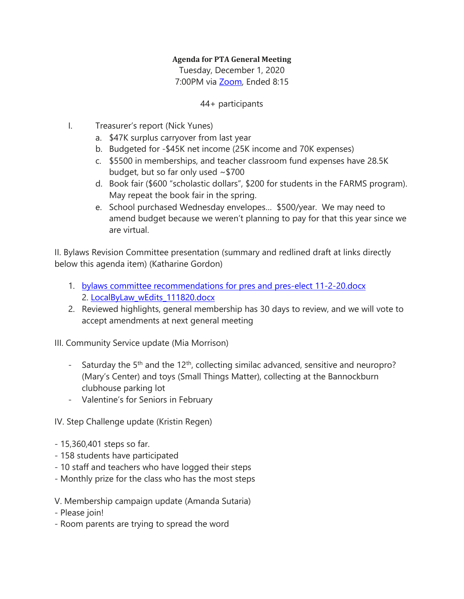## **Agenda for PTA General Meeting**

Tuesday, December 1, 2020 7:00PM via [Zoom,](about:blank) Ended 8:15

## 44+ participants

- I. Treasurer's report (Nick Yunes)
	- a. \$47K surplus carryover from last year
	- b. Budgeted for -\$45K net income (25K income and 70K expenses)
	- c. \$5500 in memberships, and teacher classroom fund expenses have 28.5K budget, but so far only used  $\sim$  \$700
	- d. Book fair (\$600 "scholastic dollars", \$200 for students in the FARMS program). May repeat the book fair in the spring.
	- e. School purchased Wednesday envelopes… \$500/year. We may need to amend budget because we weren't planning to pay for that this year since we are virtual.

II. Bylaws Revision Committee presentation (summary and redlined draft at links directly below this agenda item) (Katharine Gordon)

- 1. bylaws committee [recommendations](about:blank) for pres and pres-elect 11-2-20.docx 2. [LocalByLaw\\_wEdits\\_111820.docx](about:blank)
- 2. Reviewed highlights, general membership has 30 days to review, and we will vote to accept amendments at next general meeting

III. Community Service update (Mia Morrison)

- Saturday the  $5<sup>th</sup>$  and the  $12<sup>th</sup>$ , collecting similac advanced, sensitive and neuropro? (Mary's Center) and toys (Small Things Matter), collecting at the Bannockburn clubhouse parking lot
- Valentine's for Seniors in February

IV. Step Challenge update (Kristin Regen)

- 15,360,401 steps so far.
- 158 students have participated
- 10 staff and teachers who have logged their steps
- Monthly prize for the class who has the most steps
- V. Membership campaign update (Amanda Sutaria)
- Please join!
- Room parents are trying to spread the word